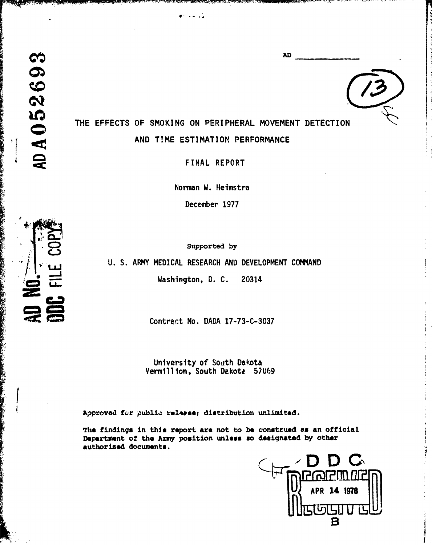AD A 052693

THE EFFECTS OF SMOKING ON PERIPHERAL MOVEMENT DETECTION AND TIME ESTIMATION PERFORMANCE

**AD** 

 $\mathbf{R}^n$  , and  $\mathbf{R}^n$ 

FINAL REPORT

Norman W. Heimstra

December 1977

Supported by

U. S. ARMY MEDICAL RESEARCH AND DEVELOPMENT COMMAND

Washington, D. C. 20314

Contract No. DADA 17-73-C-3037

University of \$oath Dakota Vermillion, South Dakota 57069

Approved for public release; distribution unlimited.

The findings in this report are not to **be** construed **as** an official Department of the Army position **unleos so** designated **by** other authorized documents.

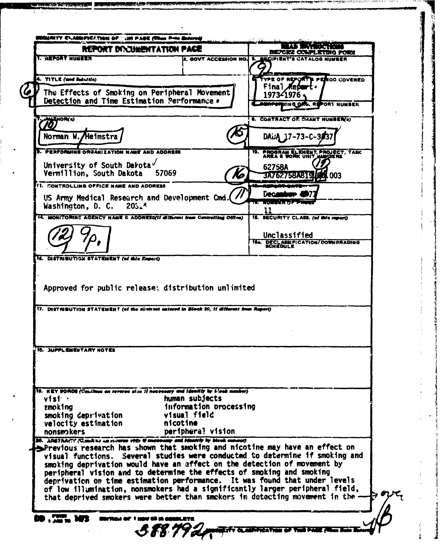|                                                                                                                                                                                                                                                                                                                                                                                                                                                                                  | REPORT DI CUMENTATION PACE             |                                                                               |
|----------------------------------------------------------------------------------------------------------------------------------------------------------------------------------------------------------------------------------------------------------------------------------------------------------------------------------------------------------------------------------------------------------------------------------------------------------------------------------|----------------------------------------|-------------------------------------------------------------------------------|
| L Y TAM THUI LE                                                                                                                                                                                                                                                                                                                                                                                                                                                                  |                                        | BEFORE COMPLETING FORM<br>2. GOVT ACCESSION NO. 3. BECIPIENT'S CATALOG NUMBER |
|                                                                                                                                                                                                                                                                                                                                                                                                                                                                                  |                                        |                                                                               |
| 4. TITLE (and Substite)                                                                                                                                                                                                                                                                                                                                                                                                                                                          |                                        | TYPE OF REPORT'S PERIOD COVERED<br>Final <i>K</i> ebe                         |
| The Effects of Smoking on Peripheral Movement                                                                                                                                                                                                                                                                                                                                                                                                                                    |                                        | 1973-1976                                                                     |
| Detection and Time Estimation Performance.                                                                                                                                                                                                                                                                                                                                                                                                                                       |                                        | <b>HING ORG. REPORT NUMBER</b>                                                |
| <b>ANSHOR(4)</b><br>70)                                                                                                                                                                                                                                                                                                                                                                                                                                                          |                                        | <b>8. CONTRACT OF SHANT NUMBERO</b>                                           |
| Norman W. Heimstra                                                                                                                                                                                                                                                                                                                                                                                                                                                               |                                        |                                                                               |
|                                                                                                                                                                                                                                                                                                                                                                                                                                                                                  |                                        | DAUA 17-73-C-3037                                                             |
| <b>B. PERFORMING ORGANIZATION NAME AND ADDRESS</b>                                                                                                                                                                                                                                                                                                                                                                                                                               |                                        | 10. PROGRAM ELEMENT, PROJECT, TASK AREA & WORK UNIT MANDERS                   |
| University of South Darota                                                                                                                                                                                                                                                                                                                                                                                                                                                       |                                        | 62758A                                                                        |
| Vermillion. South Dakota 57069                                                                                                                                                                                                                                                                                                                                                                                                                                                   |                                        | 3A762758A81910<br>Ko<br><b>74.003</b>                                         |
| <b>I'I. CONTROLLING OFFICE NAME AND ADDRESS</b>                                                                                                                                                                                                                                                                                                                                                                                                                                  |                                        | Dec.                                                                          |
| US Army Medical Research and Development Cmd. (<br>Washington, D. C. $20514$                                                                                                                                                                                                                                                                                                                                                                                                     |                                        |                                                                               |
| 14. MONITORING AGENCY NAME & ADDRESS/If different from Controlling Office)                                                                                                                                                                                                                                                                                                                                                                                                       |                                        | 15. SECURITY CLASS. (of this report)                                          |
|                                                                                                                                                                                                                                                                                                                                                                                                                                                                                  |                                        |                                                                               |
|                                                                                                                                                                                                                                                                                                                                                                                                                                                                                  |                                        | Unclassified                                                                  |
|                                                                                                                                                                                                                                                                                                                                                                                                                                                                                  |                                        | <b>15a. DECLASSIFICATION/DOWNGRADING</b>                                      |
| 16. DISTRIBUTION STATEMENT (of this Expert)                                                                                                                                                                                                                                                                                                                                                                                                                                      |                                        |                                                                               |
|                                                                                                                                                                                                                                                                                                                                                                                                                                                                                  |                                        |                                                                               |
| Approved for public release; distribution unlimited<br><sup>1</sup> 7. DISTRIBUTION STATEMENT (of the abotenct entered in Block 20, if different from Report)                                                                                                                                                                                                                                                                                                                    |                                        |                                                                               |
| <b>18. JUPPLEMENTARY NOTES</b>                                                                                                                                                                                                                                                                                                                                                                                                                                                   |                                        |                                                                               |
|                                                                                                                                                                                                                                                                                                                                                                                                                                                                                  |                                        |                                                                               |
| 19. KEY WORDS (Coulinus on revorse side if notecomy and identity by block number)<br>v1s1                                                                                                                                                                                                                                                                                                                                                                                        | human subjects                         |                                                                               |
|                                                                                                                                                                                                                                                                                                                                                                                                                                                                                  | information processing<br>visual field |                                                                               |
| nicotine                                                                                                                                                                                                                                                                                                                                                                                                                                                                         |                                        |                                                                               |
| <b>smokina</b><br>smoking deprivation<br>velocity estimation<br>nonsmokers                                                                                                                                                                                                                                                                                                                                                                                                       | periphera! vision                      |                                                                               |
| <b>28. ADETRACY (Cand to an everyon ofte if meanway and Healthy by Meek manage)</b><br>Previous research has shown that smoking and nicotine may have an effect on                                                                                                                                                                                                                                                                                                               |                                        |                                                                               |
|                                                                                                                                                                                                                                                                                                                                                                                                                                                                                  |                                        |                                                                               |
|                                                                                                                                                                                                                                                                                                                                                                                                                                                                                  |                                        |                                                                               |
| visual functions. Several studies were conducted to determine if smoking and<br>smoking deprivation would have an effect on the detection of movement by<br>peripheral vision and to determine the effects of smoking and smoking<br>deprivation on time estimation performance. It was found that under levels<br>of low illumination, nonsmokers had a significantly larger peripheral field,<br>that deprived smokers were better than smokers in detecting movement in the - |                                        |                                                                               |

**TAX RA** 

s e universita

1994年12月

 $\ddot{?}$ 

 $\mathfrak{z}$ 

Į

i.<br>M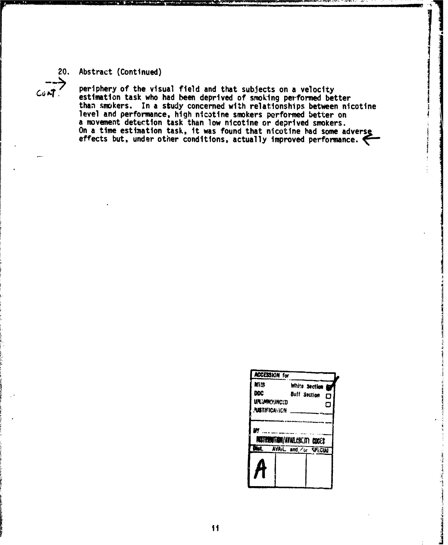## 20. Abstract (Continued)

 $C_0$  $\Delta T$ 

periphery of the visual field and that subjects on a velocity estimation task who had been deprived of smoking performed better<br>than smokers. In a study concerned with relationships between nicotine level and performance, high nicotine smokers performed better on a movement detection task than low nicotine or deprived smokers. of movement detection task, it was found that nicotine had some adverse<br>effects but, under other conditions, actually improved performance.

| <b>ACCESSION for</b>                              |                                                     |
|---------------------------------------------------|-----------------------------------------------------|
| Mils<br>DOC<br>urjmkynced<br><b>AISTIFICATION</b> | White Section<br>т<br><b>Buff Section</b><br>О<br>а |
| 45                                                | <b>RISTRIBUTION/AVAILABLITY_COCER</b>               |
| aist.                                             | AVAIL and /ur SPECIAL                               |
|                                                   |                                                     |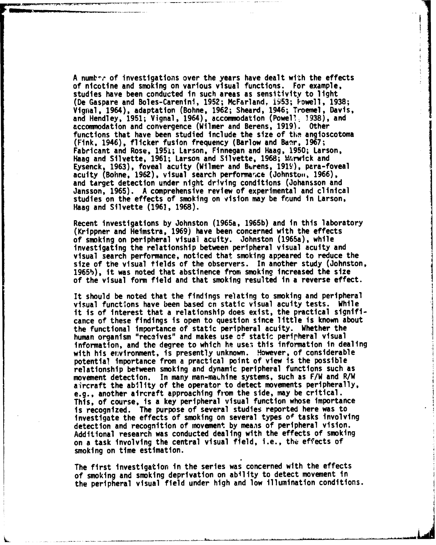A number of investigations over the years have dealt with the effects of nicotine and smoking on various visual functions. For example, studies have been conducted in such areas as sensitivity to light (De Gaspare and Boles-Carenini, 1952; McFarland, i953; Powell, 1938; Vignal, 1964), adaptation (Bohne, 1962; Sheard, 1946; Troemel, Davis, and Hendley, 1951; Vignal, 1964), accommodation (Powel?. 1938), and accommodation and convergence (Wilmer and Berens, 1919). Other functions that have been studied include the size of the angioscotoma (Fink, 1946), flicker fusion frequency (Barlow and Baar, 1967; Fabricant and Rose, 1951; Larson, Finnegan and Haag, 1950; Larson, Haag and Silvette, 1961; Larson and Silvette, 1968; Wrrwick and Eysenck, 1963), foveal acuity (Wilmer and Burens, 1919'), para-foveal acuity (Bohne, 1962), visual search performance (Johnston, 1966), and target detection under night driving conditions (Johansson and Jansson, 1965). A comprehensive review of experimental and clinical studies on the effects of smoking on vision may be fround in Larson, Haag and Silvette (1961, 1968).

Recent investigations by Johnston (1965a, 1965b) and in this laboratory (Krippner and Heimstra, 1969) have been concerned with the effects of smoking on peripheral visual acuity. Johnston (1965a), while investigating the relationship between peripheral visual acuity and visual search performance, noticed that smoking appeared to reduce the size of the visual tields of the observers. In another study (Johnston, 1965b), it was noted that abstinence from smoking increased the size of the visual form field and that smoking resulted in a reverse effect.

It should be noted that the findings relating to smoking and peripheral visual functions have been based cn static visual acuity tests. While it is of interest that a relationship does exist, the practical significance of these findings is open to question since little is known about the functional importance of static peripheral acuity. Whether the human organism "receives" ard makes use **of** static perirheral visual information, and the degree to which he uses this information in dealing with his environment, is presently unknown. However, of considerable potential importance from a practical point of view is the possible relationship between smoking and dynamic peripheral functions such as movement detection. In many man-makhine systems, such as F/W and R/W aircraft the ability of the operator to detect movements peripherally, e.g., another aircraft approaching from the side, may be critical. This, of course, is a key peripheral visual function whose importance is recognized. The purpose of several studies reported here was to investigate the effects of smoking on several types of tasks involving detection and recognition of movement by means of peripheral vision. Additional research was conducted dealing with the effects of smoking on a task involving the central visual field, i.e., the effects of smoking on time estimation.

The first Investigation in the series was concerned with the effects of smoking and smoking deprivation on ability to detect movement in the peripheral visual field under high and low illumination conditions.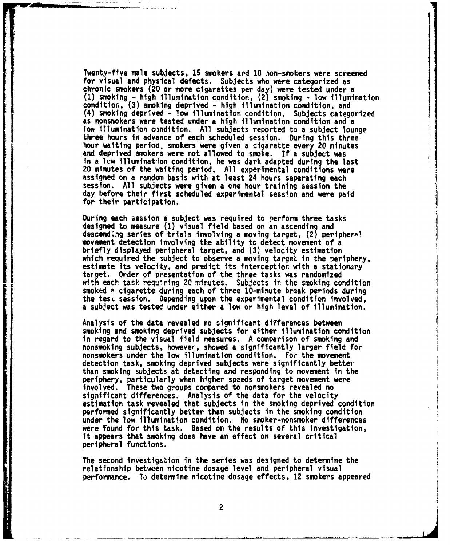Twenty-five male subjects, **15** smokers and **10** nion-smokers were screened for visual and physical defects. Subjects who were categorized as chronic smokers (20 or more cigarettes per day) were tested under a **(1)** smoking **-** high illumination condition, (2, smoking **-** low illumination condition, **(3)** smoking deprived **-** high illumination condition, and (4) smoking deprived **-** low illumination condition. Subjects categorized as nonsmokers were tested under a high illumination condition and a low illumination condition. **All** subjects reported to a subject lounge three hours in advance of each scheduled session. During this three hour waiting period, smokers were given a cigarette every 20 minutes and deprived smokers were not allowed to smoke. **If a** subject was in a lcw illumination condition, he was dark adapted during the last 20 minutes **of** the waiting period. **All** experimental conditions were assigned on a random basis with at least 24 hours separating each session. **All** subjects were giver a one hour training session the day before their first scheduled experimental session and were paid for their participation.

During each session a subject was required to perform three tasks designed to measure **(1)** visual field based on an ascending and descending series of trials involving a moving target, (2) periphera!<br>movement detection involving the ability to detect movement of a briefly displayed peripheral target, and (3) velocity estimation which required the subject to observe a moving target in the periphery,<br>estimate its velocity, and predict its interception with a stationary target. Order of presentation of the three tasks was randomized with each task requiring 20 minutes. Subjects in the smoking condition smoked **a** cigarette during each of three 10-minute break periods during the test session. Depending upon the experimental condition involved, **a** subject was tested under either a low or high level of illumination.

Analysis of the data revealed no significant differences between smoking and smoking deprived subjects for either illumination condition in regard to the visual field measures. **A** comparison of smoking and nonsmoking subjects, however', showed a significantly larger field for nonsmokers under the low illumination condition. For the movement detection task, smoking deprived subjects were significantly better than smoking subjects at detecting and responding to movement in the periphery, particularly when higher speeds of target movement were involved. These two groups compared to nonsmokers revealed no significant differences. Analysis of the data for the velocity estimation task revealed that subjects in the smoking deprived condition performed significantly better than subjects in the smoking condition under the low illumination condition. No smoker-nonsmoker differences were found for this task. Based on the results of this investigation, it appears that smoking does have an effect on several critical peripheral functions.

The second investigation in the series was designed to determine the relationship between nicotine dosage level and peripheral visual performance. To determine nicotine dosage effects, 12 smokers appeared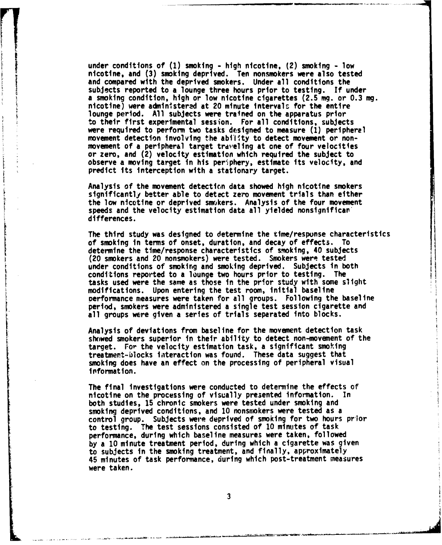under conditions of (1) smoking - high nicotine, (2) smoking - low nicotine, and **(3)** smoking deprived. Ten nonsmokers were also tested and compared with the deprived smokers. Under all conditions the subjects reported to a lounge three hours prior to testing. **If** under a smoking condition, high or low nicotine cigarettes **(2.5** mg. or **0.3** mg. nicotine) were administered at 20 minute intervals for the entire lounge period. **All** subjects were trained on the apparatus prior to their first experimental session. For all conditions, subjects were required to perform two tasks designed to measure (1) peripheral movement detection involving the ability to detect movement or nonmovement of a peripheral target traveling at one of four velocities or zero, and (2) velocity estimation which required the subject to observe a moving target in his periphery, estimate its velocity, and predict its interception with a stationary target.

Analysis of the movement detection data showed high nicotine smokers significantly better able to detect zero movement trials than either the low nicotine or deprived smokers. Analysis of the four movement speeds and the velocity estimation data all yielded nonsignifican' differences.

The third study was designed to determine the time/response characteristics<br>of smoking in terms of onset, duration, and decay of effects. To determine the time/response characteristics of smoking, 40 subjects.<br>(20 smokers and 20 nonsmokers) were tested. Smokers were tested. under conditions of smoking and smoking deprived. Subjects in both conditions reported to a lounge two hours prior to testing. The tasks used were the same as those in the prior study with some slight modifications. Upon entering the test room, initial baseline Derformance measures were taken for all groups. Following the baseline period, smokers were administered a single test session cigarette and all groups were given a series of trials separated into blocks.

Analysis of deviations from baseline for the movement detection task showed smokers superior in their ability to detect non-movement of the target. For the velocity estimation task, a significant smoking treatment-blocks interaction was found. These data suggest that smoking does have an effect on the processing of peripheral visual I information.

The final investigations were conducted to determine the effects of nicotine on the processing of visually presented information. In both studies, **15** chronic smokers were tested under smoking and smoking deprived conditions, and **10** nonsmokers were tested as a control group. Subjects were deprived of smoking for two hours prior to testing. The test sessions consisted of **10** minutes of task performance, during which baseline measures were taken, followed **by a 10** minute treatment period, during which a cigarette was given to subjects in the smoking treatment, and finally, approximately 45 minutes of task performance, during which post-treatment measures were taken.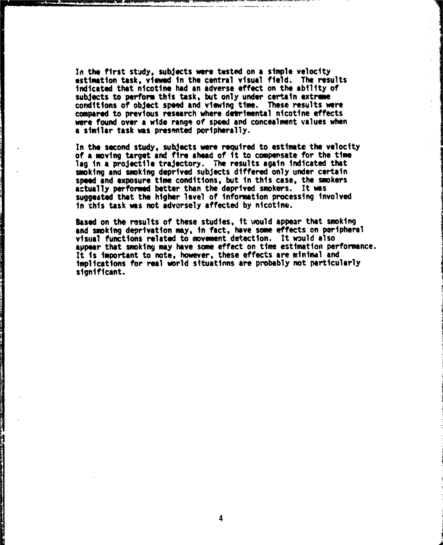In the first study, subjects were tested on a simple velocity estimation task, viewed in the central visual field. The results Indicated that nicotine had an adverse effect on the ability of subjects to perform this task, but only under certain extreme conditions of object speed and viewing time. These results were compared to previous research where detrimental nicotine effects were found over a wide range. of speed and concealment values when a similar task was presented peripherally.

In the second study, subjects were required to estimate the velocity<br>of a moving target and fire ahead of it to compensate for the time lag in **a** projectile trajectory. The results again indicated that smoking and smoking deprived subjects differed only under certain speed and exposure time conditions, but in this case, the smokers actually performed better than the deprived smokers. It was **suggested** that the higher level of information processing involved in this task was not adversely affected **by** nicotine.

**Based** on the results of these studies, it would appear that smoking and smoking deprivation may, in fact, have some effects on peripheral visual functions related to movement detection. It would also appear that smoking may have some effect on time estimation performance. It is important to note, however, these effects are minimal and implications for real world situations are probably not particularly significant.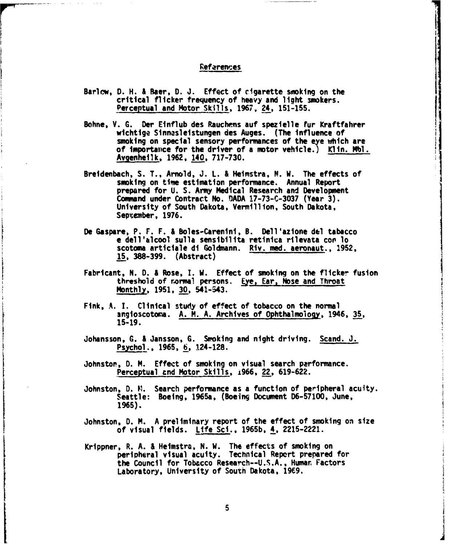## **References**

- Barlow, D. H. & Baer, **D.** J. Effect of cigarette smoking on the critical flicker frequency of heavy and light smokers. Perceptual and Motor Skills, 1967, 24, 151-155.
- Bohne, V. G. Der Einflub des Rauchens auf spezielle fur Kraftfahrer wtchtige Sinnasleistungen des Auges. (The influence of smoking on special sensory performances of the eye which are of importance for the driver of a motor vehicle.) Kltn. **Mbl.** Avgenheitk, 1962, 140, 717-730.
- Breidenbach, S. T., Arnold, J. L. & Heimstra, N. W. The effects of smoking on time estimation performance. Annual Report prepared for U. S. Army Medical Research and Development Command under Contract No. DADA 17-73-C-3037 (Year 3). University of South Dakota, Vermillion, South Dakota, September, 1976.
- De Gaspare, P. F. F. & Boles-Carenini, B. Dell'azione del tabacco e dell'alcool sulla sensibilita retinica rilevata cop lo scotoma articiale di Goldmann. Riv. med. aeronaut., 1952, 15, 388-399. (Abstract)
- Fabricant, N. **D. &** Rose, I. W. Effect of smoking on the flicker fusion threshold of normal persons. Eye, Ear, Nose and Throat Monthly, 1951, 30, 541-543.
- Fink, **A. 1.** Clinical study of effect of tobacco on the normal angioscotoma. A. M. A. Archives of Ophthalmology, 1946, 35, 15-19.
- Johansson, G. & Jansson, G. Smoking and night driving. Scand. J. Psychol., 1965, 6, 124-128.
- Johnstor, **D.** M. Effect of smoking on visual search performance. Perceptual and Motor Skills, 1966, 22, 619-622.
- Johnston, D. M. Search performance as a function of peripheral acuity. Seattle: Boeing, 1965a, (Boeing Document D6-57100, June, **1965).**
- Johnston, D. M. A preliminary report of the effect of smoking on size of visual fields. Life Sci., 1965b, 4, 2215-2221.
- Krippner, R. A. & Heimstra, N. W. The effects of smoking on peripheral visual acuity. Technical Repert prepared for the Council for Tobacco Research--U.S.A., Human Factors Laboratory, University of South Dakota, 1969.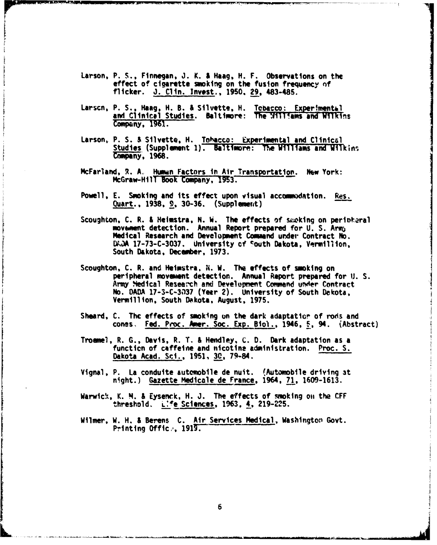- Larson, P. S., Finnegan, J. K. **& Haag,** H. F. Observations on the effect of cigarette smoking on the fusion frequency nf flicker. J. Clin. Invest,, 1950. 29, 483-485.
- Larscn, P. S., Haag, H. B. & Silvette, H. Tobacco: Experimental and Clinical Studies. Baltimore: The Williams and Wilkins Company, 1961.
- Larson, P. S. **S** Silvette, H. Tohacco: Experimental and Clinical Studies (Supplement 1). Baltimore: The Williams and Wilkins Company, 1968.
- McFarland, R. A. Humun Factors in Air Transportation. New York: McGraw-Hill Book Company, 1953.
- Powell, E. Smoking and its effect upon visual accommodation. Res. Quart., 1938, 9, 30-36. (Supplemert)
- Scoughton, C. R. & Heimstra, N. W. The effects of swoking on peripheral movement detection. Annual Report prepared for U.S. Army Medical Research and Development Command under Contract No. DADA 17-73-C-3037. University of South Dakota, Vermillion, South Dakota, December, 1973.
- Scoughton, C. R. and Heimstra, **X.** W. The effects of smoking on peripheral movement detection. Annual Report prepared for **1).** S. Army Nedical Research and Development Command under Contract No. **DADA** 17-3-C-3137 (Year 2). University of South Dekota, Vermillion, South Dakota, August, 1975.
- Sheard, C. The effects of smoking on the dark adaptatior of rods and cones. Fed. Proc. Amer. Soc. Exp. Biol., 1946, **5,** 94. (Abstract)
- Troamel, R. G., Davis, R. T. **&** Hendley, **C.** D. Dark adaptation as a function of caffeine and nicotine administration. Proc. S. Dakota Acad. Sci., 1951, 30, 79-84.
- Vignal, P. La conduite automobile de nuit. (Automobile driving 3t night.) Gazette Medicale de France, 1964, 71, 1609-1613.
- Warwick, K. M. & Eysenck, H. J. The effects of smoking on the CFF threshold. L'fe Sciences, 1963, 4, 219-225.
- Wilmer, W. H. & Berens C. Air Services Medical, Washington Govt. Printing Office, 1919.